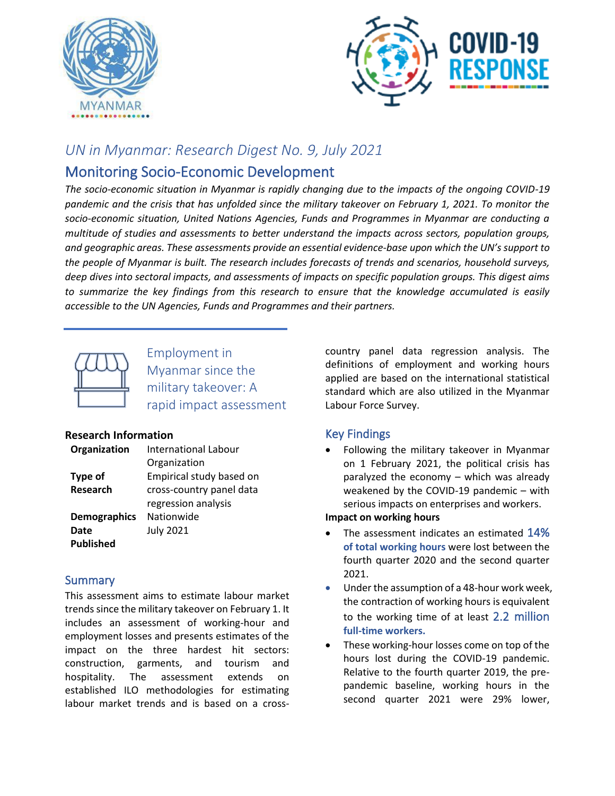



# *UN in Myanmar: Research Digest No. 9, July 2021*

# Monitoring Socio-Economic Development

*The socio-economic situation in Myanmar is rapidly changing due to the impacts of the ongoing COVID-19 pandemic and the crisis that has unfolded since the military takeover on February 1, 2021. To monitor the socio-economic situation, United Nations Agencies, Funds and Programmes in Myanmar are conducting a multitude of studies and assessments to better understand the impacts across sectors, population groups, and geographic areas. These assessments provide an essential evidence-base upon which the UN's support to the people of Myanmar is built. The research includes forecasts of trends and scenarios, household surveys, deep dives into sectoral impacts, and assessments of impacts on specific population groups. This digest aims to summarize the key findings from this research to ensure that the knowledge accumulated is easily accessible to the UN Agencies, Funds and Programmes and their partners.* 



Employment in Myanmar since the military takeover: A rapid impact assessment

# **Research Information**

| Organization        | International Labour     |
|---------------------|--------------------------|
|                     | Organization             |
| Type of             | Empirical study based on |
| Research            | cross-country panel data |
|                     | regression analysis      |
| <b>Demographics</b> | Nationwide               |
| Date                | <b>July 2021</b>         |
| <b>Published</b>    |                          |

# **Summary**

This assessment aims to estimate labour market trends since the military takeover on February 1. It includes an assessment of working-hour and employment losses and presents estimates of the impact on the three hardest hit sectors: construction, garments, and tourism and hospitality. The assessment extends on established ILO methodologies for estimating labour market trends and is based on a crosscountry panel data regression analysis. The definitions of employment and working hours applied are based on the international statistical standard which are also utilized in the Myanmar Labour Force Survey.

# Key Findings

• Following the military takeover in Myanmar on 1 February 2021, the political crisis has paralyzed the economy – which was already weakened by the COVID-19 pandemic – with serious impacts on enterprises and workers.

# **Impact on working hours**

- The assessment indicates an estimated 14% **of total working hours** were lost between the fourth quarter 2020 and the second quarter 2021.
- Under the assumption of a 48-hour work week, the contraction of working hours is equivalent to the working time of at least 2.2 million **full-time workers.**
- These working-hour losses come on top of the hours lost during the COVID-19 pandemic. Relative to the fourth quarter 2019, the prepandemic baseline, working hours in the second quarter 2021 were 29% lower,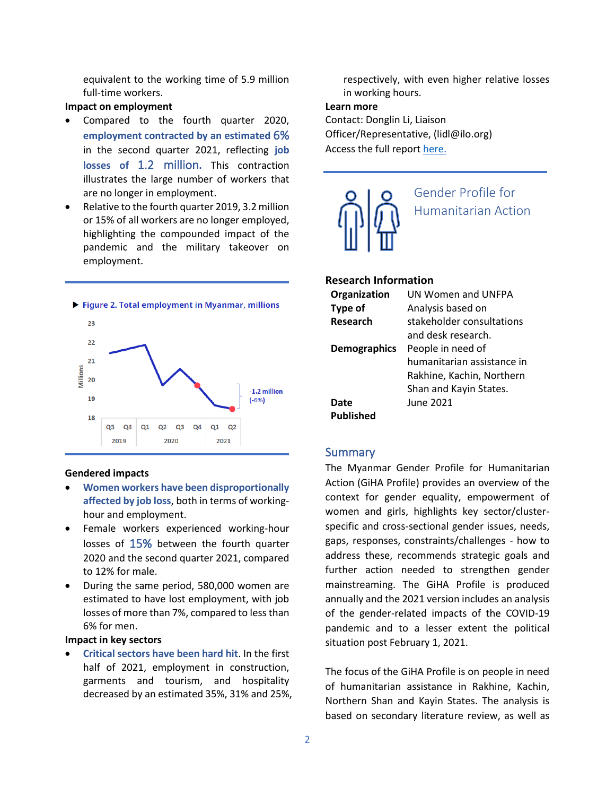equivalent to the working time of 5.9 million full-time workers.

### **Impact on employment**

- Compared to the fourth quarter 2020, **employment contracted by an estimated** 6% in the second quarter 2021, reflecting **job losses of** 1.2 million**.** This contraction illustrates the large number of workers that are no longer in employment.
- Relative to the fourth quarter 2019, 3.2 million or 15% of all workers are no longer employed, highlighting the compounded impact of the pandemic and the military takeover on employment.



#### **Gendered impacts**

- **Women workers have been disproportionally affected by job loss**, both in terms of workinghour and employment.
- Female workers experienced working-hour losses of 15% between the fourth quarter 2020 and the second quarter 2021, compared to 12% for male.
- During the same period, 580,000 women are estimated to have lost employment, with job losses of more than 7%, compared to less than 6% for men.

#### **Impact in key sectors**

• **Critical sectors have been hard hit**. In the first half of 2021, employment in construction, garments and tourism, and hospitality decreased by an estimated 35%, 31% and 25%,

respectively, with even higher relative losses in working hours.

### **Learn more**

Contact: Donglin Li, Liaison Officer/Representative, (lidl@ilo.org) Access the full report [here.](https://www.ilo.org/yangon/publications/WCMS_814681/lang--en/index.htm)



#### **Research Information**

| Organization        | <b>UN Women and UNFPA</b>  |
|---------------------|----------------------------|
| Type of             | Analysis based on          |
| Research            | stakeholder consultations  |
|                     | and desk research.         |
| <b>Demographics</b> | People in need of          |
|                     | humanitarian assistance in |
|                     | Rakhine, Kachin, Northern  |
|                     | Shan and Kayin States.     |
| Date                | June 2021                  |
| Published           |                            |

# **Summary**

The Myanmar Gender Profile for Humanitarian Action (GiHA Profile) provides an overview of the context for gender equality, empowerment of women and girls, highlights key sector/clusterspecific and cross-sectional gender issues, needs, gaps, responses, constraints/challenges - how to address these, recommends strategic goals and further action needed to strengthen gender mainstreaming. The GiHA Profile is produced annually and the 2021 version includes an analysis of the gender-related impacts of the COVID-19 pandemic and to a lesser extent the political situation post February 1, 2021.

The focus of the GiHA Profile is on people in need of humanitarian assistance in Rakhine, Kachin, Northern Shan and Kayin States. The analysis is based on secondary literature review, as well as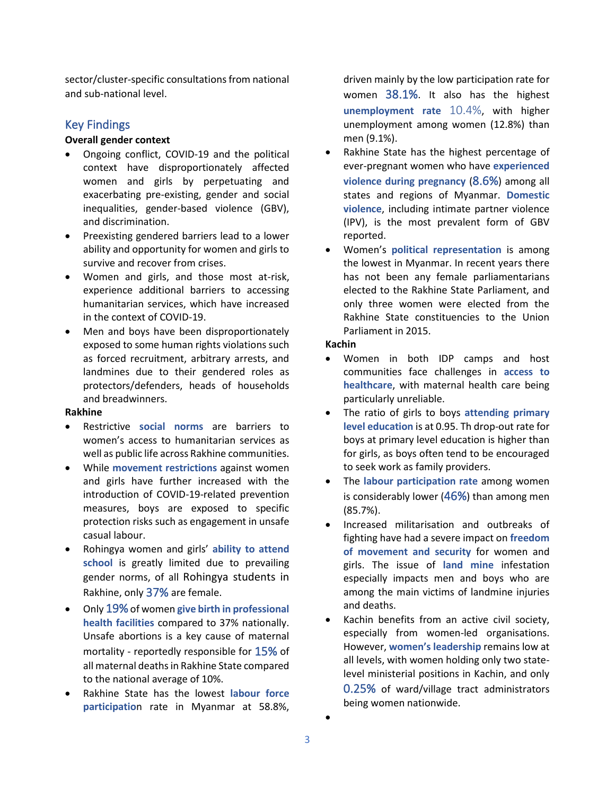sector/cluster-specific consultations from national and sub-national level.

# Key Findings

### **Overall gender context**

- Ongoing conflict, COVID-19 and the political context have disproportionately affected women and girls by perpetuating and exacerbating pre-existing, gender and social inequalities, gender-based violence (GBV), and discrimination.
- Preexisting gendered barriers lead to a lower ability and opportunity for women and girls to survive and recover from crises.
- Women and girls, and those most at-risk, experience additional barriers to accessing humanitarian services, which have increased in the context of COVID-19.
- Men and boys have been disproportionately exposed to some human rights violations such as forced recruitment, arbitrary arrests, and landmines due to their gendered roles as protectors/defenders, heads of households and breadwinners.

### **Rakhine**

- Restrictive **social norms** are barriers to women's access to humanitarian services as well as public life across Rakhine communities.
- While **movement restrictions** against women and girls have further increased with the introduction of COVID-19-related prevention measures, boys are exposed to specific protection risks such as engagement in unsafe casual labour.
- Rohingya women and girls' **ability to attend school** is greatly limited due to prevailing gender norms, of all Rohingya students in Rakhine, only 37% are female.
- Only 19% of women **give birth in professional health facilities** compared to 37% nationally. Unsafe abortions is a key cause of maternal mortality - reportedly responsible for 15% of all maternal deaths in Rakhine State compared to the national average of 10%.
- Rakhine State has the lowest **labour force participatio**n rate in Myanmar at 58.8%,

driven mainly by the low participation rate for women 38.1%. It also has the highest **unemployment rate** 10.4%, with higher unemployment among women (12.8%) than men (9.1%).

- Rakhine State has the highest percentage of ever-pregnant women who have **experienced violence during pregnancy** (8.6%) among all states and regions of Myanmar. **Domestic violence**, including intimate partner violence (IPV), is the most prevalent form of GBV reported.
- Women's **political representation** is among the lowest in Myanmar. In recent years there has not been any female parliamentarians elected to the Rakhine State Parliament, and only three women were elected from the Rakhine State constituencies to the Union Parliament in 2015.

### **Kachin**

- Women in both IDP camps and host communities face challenges in **access to healthcare**, with maternal health care being particularly unreliable.
- The ratio of girls to boys **attending primary level education** is at 0.95. Th drop-out rate for boys at primary level education is higher than for girls, as boys often tend to be encouraged to seek work as family providers.
- The **labour participation rate** among women is considerably lower (46%) than among men (85.7%).
- Increased militarisation and outbreaks of fighting have had a severe impact on **freedom of movement and security** for women and girls. The issue of **land mine** infestation especially impacts men and boys who are among the main victims of landmine injuries and deaths.
- Kachin benefits from an active civil society, especially from women-led organisations. However, **women's leadership** remains low at all levels, with women holding only two statelevel ministerial positions in Kachin, and only 0.25% of ward/village tract administrators being women nationwide.

•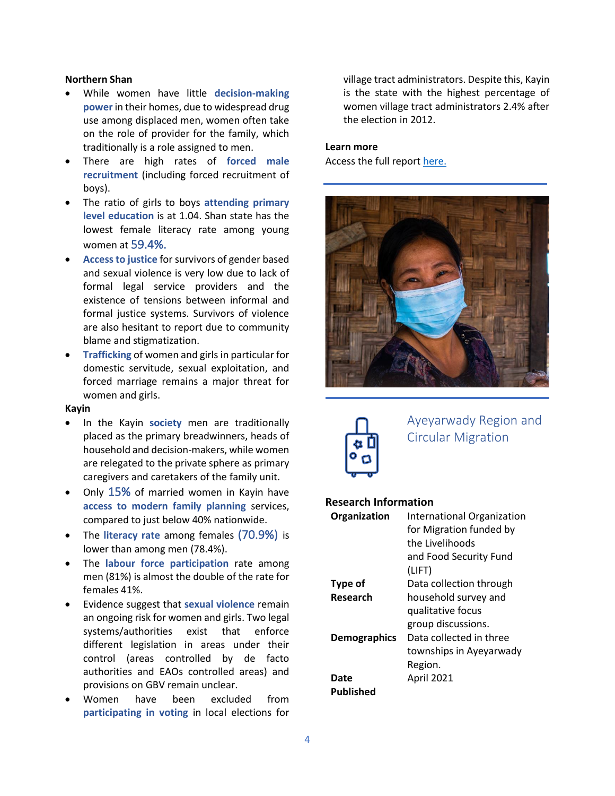### **Northern Shan**

- While women have little **decision-making power** in their homes, due to widespread drug use among displaced men, women often take on the role of provider for the family, which traditionally is a role assigned to men.
- There are high rates of **forced male recruitment** (including forced recruitment of boys).
- The ratio of girls to boys **attending primary level education** is at 1.04. Shan state has the lowest female literacy rate among young women at 59.4%.
- **Access to justice** for survivors of gender based and sexual violence is very low due to lack of formal legal service providers and the existence of tensions between informal and formal justice systems. Survivors of violence are also hesitant to report due to community blame and stigmatization.
- **Trafficking** of women and girls in particular for domestic servitude, sexual exploitation, and forced marriage remains a major threat for women and girls.

### **Kayin**

- In the Kayin **society** men are traditionally placed as the primary breadwinners, heads of household and decision-makers, while women are relegated to the private sphere as primary caregivers and caretakers of the family unit.
- Only 15% of married women in Kayin have **access to modern family planning** services, compared to just below 40% nationwide.
- The **literacy rate** among females (70.9%) is lower than among men (78.4%).
- The **labour force participation** rate among men (81%) is almost the double of the rate for females 41%.
- Evidence suggest that **sexual violence** remain an ongoing risk for women and girls. Two legal systems/authorities exist that enforce different legislation in areas under their control (areas controlled by de facto authorities and EAOs controlled areas) and provisions on GBV remain unclear.
- Women have been excluded from **participating in voting** in local elections for

village tract administrators. Despite this, Kayin is the state with the highest percentage of women village tract administrators 2.4% after the election in 2012.

### **Learn more**

Access the full report [here.](https://reliefweb.int/report/myanmar/gender-profile-humanitarian-action-rakhine-kachin-northern-shan-and-kayin-states)





Ayeyarwady Region and Circular Migration

#### **Research Information**

| Organization        | International Organization |
|---------------------|----------------------------|
|                     | for Migration funded by    |
|                     | the Livelihoods            |
|                     | and Food Security Fund     |
|                     | (LIFT)                     |
| Type of             | Data collection through    |
| Research            | household survey and       |
|                     | qualitative focus          |
|                     | group discussions.         |
| <b>Demographics</b> | Data collected in three    |
|                     | townships in Ayeyarwady    |
|                     | Region.                    |
| Date                | April 2021                 |
| Published           |                            |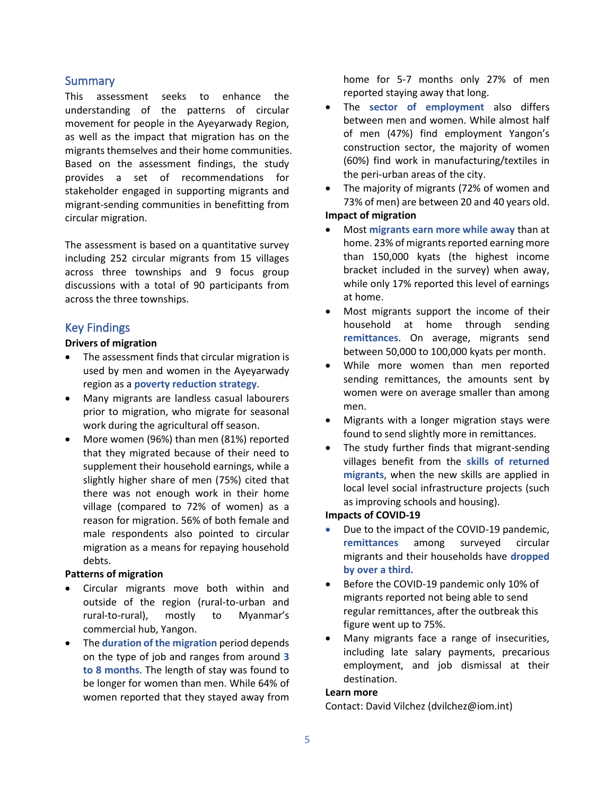### **Summary**

This assessment seeks to enhance the understanding of the patterns of circular movement for people in the Ayeyarwady Region, as well as the impact that migration has on the migrants themselves and their home communities. Based on the assessment findings, the study provides a set of recommendations for stakeholder engaged in supporting migrants and migrant-sending communities in benefitting from circular migration.

The assessment is based on a quantitative survey including 252 circular migrants from 15 villages across three townships and 9 focus group discussions with a total of 90 participants from across the three townships.

# Key Findings

## **Drivers of migration**

- The assessment finds that circular migration is used by men and women in the Ayeyarwady region as a **poverty reduction strategy**.
- Many migrants are landless casual labourers prior to migration, who migrate for seasonal work during the agricultural off season.
- More women (96%) than men (81%) reported that they migrated because of their need to supplement their household earnings, while a slightly higher share of men (75%) cited that there was not enough work in their home village (compared to 72% of women) as a reason for migration. 56% of both female and male respondents also pointed to circular migration as a means for repaying household debts.

### **Patterns of migration**

- Circular migrants move both within and outside of the region (rural-to-urban and rural-to-rural), mostly to Myanmar's commercial hub, Yangon.
- The **duration of the migration** period depends on the type of job and ranges from around **3 to 8 months**. The length of stay was found to be longer for women than men. While 64% of women reported that they stayed away from

home for 5-7 months only 27% of men reported staying away that long.

- The **sector of employment** also differs between men and women. While almost half of men (47%) find employment Yangon's construction sector, the majority of women (60%) find work in manufacturing/textiles in the peri-urban areas of the city.
- The majority of migrants (72% of women and 73% of men) are between 20 and 40 years old.

# **Impact of migration**

- Most **migrants earn more while away** than at home. 23% of migrants reported earning more than 150,000 kyats (the highest income bracket included in the survey) when away, while only 17% reported this level of earnings at home.
- Most migrants support the income of their household at home through sending **remittances**. On average, migrants send between 50,000 to 100,000 kyats per month.
- While more women than men reported sending remittances, the amounts sent by women were on average smaller than among men.
- Migrants with a longer migration stays were found to send slightly more in remittances.
- The study further finds that migrant-sending villages benefit from the **skills of returned migrants**, when the new skills are applied in local level social infrastructure projects (such as improving schools and housing).

#### **Impacts of COVID-19**

- Due to the impact of the COVID-19 pandemic, **remittances** among surveyed circular migrants and their households have **dropped by over a third.**
- Before the COVID-19 pandemic only 10% of migrants reported not being able to send regular remittances, after the outbreak this figure went up to 75%.
- Many migrants face a range of insecurities, including late salary payments, precarious employment, and job dismissal at their destination.

#### **Learn more**

Contact: David Vilchez (dvilchez@iom.int)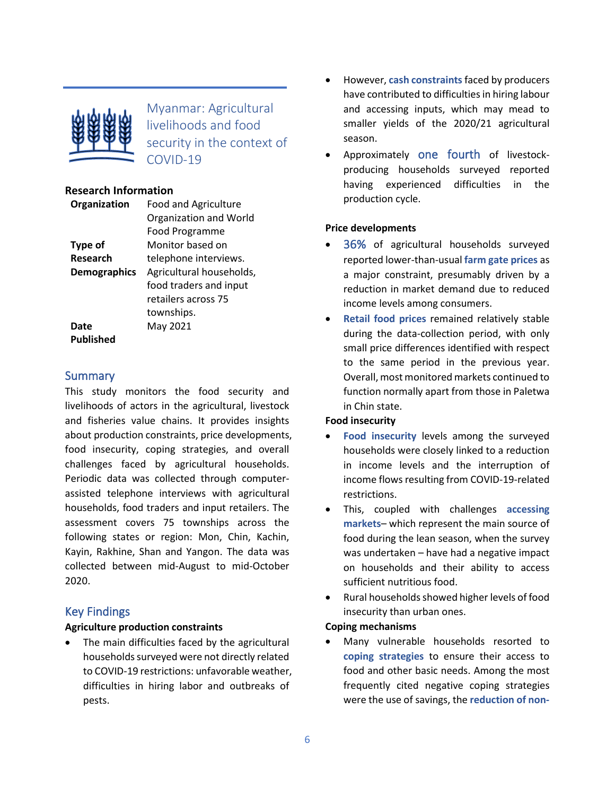

Myanmar: Agricultural livelihoods and food security in the context of COVID-19

# **Research Information**

| Organization        | <b>Food and Agriculture</b> |
|---------------------|-----------------------------|
|                     | Organization and World      |
|                     | Food Programme              |
| Type of             | Monitor based on            |
| Research            | telephone interviews.       |
| <b>Demographics</b> | Agricultural households,    |
|                     | food traders and input      |
|                     | retailers across 75         |
|                     | townships.                  |
| Date                | May 2021                    |
| Published           |                             |

# **Summary**

This study monitors the food security and livelihoods of actors in the agricultural, livestock and fisheries value chains. It provides insights about production constraints, price developments, food insecurity, coping strategies, and overall challenges faced by agricultural households. Periodic data was collected through computerassisted telephone interviews with agricultural households, food traders and input retailers. The assessment covers 75 townships across the following states or region: Mon, Chin, Kachin, Kayin, Rakhine, Shan and Yangon. The data was collected between mid-August to mid-October 2020.

# Key Findings

# **Agriculture production constraints**

• The main difficulties faced by the agricultural households surveyed were not directly related to COVID-19 restrictions: unfavorable weather, difficulties in hiring labor and outbreaks of pests.

- However, **cash constraints**faced by producers have contributed to difficulties in hiring labour and accessing inputs, which may mead to smaller yields of the 2020/21 agricultural season.
- Approximately one fourth of livestockproducing households surveyed reported having experienced difficulties in the production cycle.

# **Price developments**

- 36% of agricultural households surveyed reported lower-than-usual **farm gate prices** as a major constraint, presumably driven by a reduction in market demand due to reduced income levels among consumers.
- **Retail food prices** remained relatively stable during the data-collection period, with only small price differences identified with respect to the same period in the previous year. Overall, most monitored markets continued to function normally apart from those in Paletwa in Chin state.

# **Food insecurity**

- **Food insecurity** levels among the surveyed households were closely linked to a reduction in income levels and the interruption of income flows resulting from COVID-19-related restrictions.
- This, coupled with challenges **accessing markets**– which represent the main source of food during the lean season, when the survey was undertaken – have had a negative impact on households and their ability to access sufficient nutritious food.
- Rural households showed higher levels of food insecurity than urban ones.

# **Coping mechanisms**

• Many vulnerable households resorted to **coping strategies** to ensure their access to food and other basic needs. Among the most frequently cited negative coping strategies were the use of savings, the **reduction of non-**